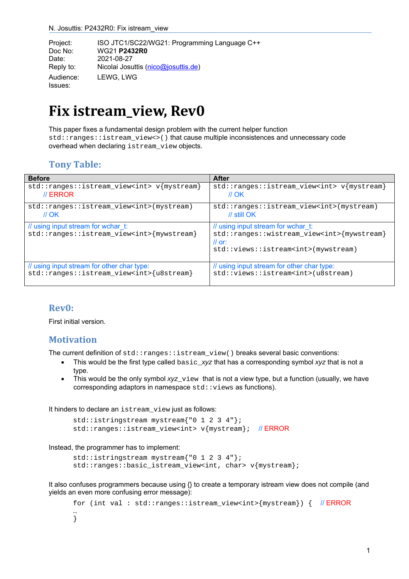| Project:             | ISO JTC1/SC22/WG21: Programming Language C++ |
|----------------------|----------------------------------------------|
| Doc No:              | <b>WG21 P2432R0</b>                          |
| Date:                | 2021-08-27                                   |
| Reply to:            | Nicolai Josuttis (nico@josuttis.de)          |
| Audience:<br>Issues: | LEWG, LWG                                    |

# **Fix istream\_view, Rev0**

This paper fixes a fundamental design problem with the current helper function std::ranges::istream\_view<>() that cause multiple inconsistences and unnecessary code overhead when declaring istream\_view objects.

## **Tony Table:**

| <b>Before</b>                                                                          | <b>After</b>                                                                                                                                                          |
|----------------------------------------------------------------------------------------|-----------------------------------------------------------------------------------------------------------------------------------------------------------------------|
| std::ranges::istream_view <int> v{mystream}</int>                                      | std::ranges::istream_view <int> v{mystream}</int>                                                                                                                     |
| // ERROR                                                                               | $\mathcal{U}$ OK                                                                                                                                                      |
| std::ranges::istream_view <int>(mystream)</int>                                        | std::ranges::istream_view <int>(mystream)</int>                                                                                                                       |
| $\mathcal{U}$ OK                                                                       | $\prime\prime$ still OK                                                                                                                                               |
| // using input stream for wchar t:<br>std::ranges::istream_view <int>{mywstream}</int> | // using input stream for wchar t:<br>std::ranges::wistream_view <int>{mywstream}<br/><math>\mathcal U</math> or:<br/>std::views::istream<int>(mywstream)</int></int> |
| // using input stream for other char type:                                             | // using input stream for other char type:                                                                                                                            |
| std::ranges::istream_view <int>{u8stream}</int>                                        | std::views::istream <int>(u8stream)</int>                                                                                                                             |

## $Rev0:$

First initial version.

## **Motivation**

The current definition of  $std:image::istream\_view()$  breaks several basic conventions:

- This would be the first type called basic\_*xyz* that has a corresponding symbol *xyz* that is not a type.
- This would be the only symbol *xyz*\_view that is not a view type, but a function (usually, we have corresponding adaptors in namespace  $std:views$  as functions).

It hinders to declare an istream\_view just as follows:

```
std::istringstream mystream{"0 1 2 3 4"};
std::ranges::istream_view<int> v{mystream}; // ERROR
```
Instead, the programmer has to implement:

```
std::istringstream mystream{"0 1 2 3 4"};
std::ranges::basic_istream_view<int, char> v{mystream};
```
It also confuses programmers because using  $\beta$  to create a temporary istream view does not compile (and yields an even more confusing error message):

```
for (int val : std::ranges::istream_view<int>{mystream}) { // ERROR
… 
}
```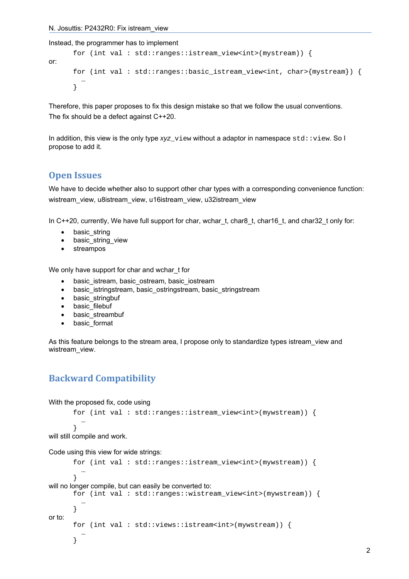Instead, the programmer has to implement

```
for (int val : std::ranges::istream_view<int>(mystream)) { 
or: 
      for (int val : std::ranges::basic_istream_view<int, char>{mystream}) { 
       … 
      }
```
Therefore, this paper proposes to fix this design mistake so that we follow the usual conventions. The fix should be a defect against C++20.

In addition, this view is the only type *xyz*\_view without a adaptor in namespace std::view. So I propose to add it.

#### **Open Issues**

We have to decide whether also to support other char types with a corresponding convenience function: wistream\_view, u8istream\_view, u16istream\_view, u32istream\_view

In C++20, currently, We have full support for char, wchar t, char8 t, char16 t, and char32 t only for:

- basic string
- basic string view
- streampos

We only have support for char and wchar t for

- basic\_istream, basic\_ostream, basic\_iostream
- basic\_istringstream, basic\_ostringstream, basic\_stringstream
- basic stringbuf
- basic\_filebuf
- basic\_streambuf
- basic\_format

As this feature belongs to the stream area, I propose only to standardize types istream view and wistream\_view.

## **Backward Compatibility**

With the proposed fix, code using

```
for (int val : std::ranges::istream_view<int>(mywstream)) { 
 … 
}
```
will still compile and work.

Code using this view for wide strings:

```
for (int val : std::ranges::istream_view<int>(mywstream)) { 
        … 
      } 
will no longer compile, but can easily be converted to:
      for (int val : std::ranges::wistream view<int>(mywstream)) {
        … 
      } 
or to: 
      for (int val : std::views::istream<int>(mywstream)) {
        … 
      }
```